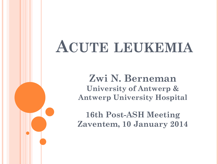# **ACUTE LEUKEMIA**

**Zwi N. Berneman University of Antwerp & Antwerp University Hospital**

**16th Post-ASH Meeting Zaventem, 10 January 2014**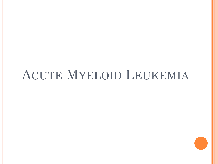# ACUTE MYELOID LEUKEMIA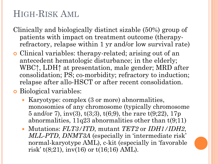# HIGH-RISK AML

- Clinically and biologically distinct sizable (50%) group of patients with impact on treatment outcome (therapyrefractory, relapse within 1 yr and/or low survival rate)
- Clinical variables: therapy-related; arising out of an antecedent hematologic disturbance; in the elderly; WBC↑, LDH↑ at presentation, male gender; MRD after consolidation; PS; co-morbidity; refractory to induction; relapse after allo-HSCT or after recent consolidation.
- **o** Biological variables:
	- Karyotype: complex (3 or more) abnormalities, monosomies of any chromosome (typically chromosome 5 and/or 7), inv(3),  $t(3,3)$ ,  $t(6,9)$ , the rare  $t(9,22)$ , 17p abnormalities,  $11q23$  abnormalities other than  $t(9;11)$
	- Mutations: *FLT3/ITD*, mutant *TET2* or *IDH1/IDH2*, *MLL-PTD*, *DNMT3A* (especially in 'intermediate risk' normal-karyotype AML), c-kit (especially in 'favorable risk' t(8;21), inv(16) or t(16;16) AML).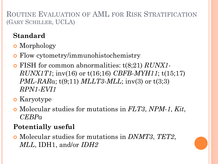ROUTINE EVALUATION OF AML FOR RISK STRATIFICATION (GARY SCHILLER, UCLA)

## **Standard**

- **o** Morphology
- Flow cytometry/immunohistochemistry
- FISH for common abnormalities: t(8;21) *RUNX1- RUNX1T1*; inv(16) or t(16;16) *CBFB-MYH11*; t(15;17) *PML-RAR*α; t(9;11) *MLLT3-MLL*; inv(3) or t(3;3) *RPN1-EVI1*
- **o** Karyotype
- Molecular studies for mutations in *FLT3*, *NPM-1*, *Kit*, *CEBPα*

### **Potentially useful**

 Molecular studies for mutations in *DNMT3*, *TET2*, *MLL*, IDH1, and/or *IDH2*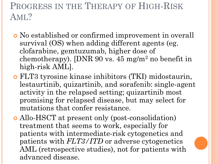# PROGRESS IN THE THERAPY OF HIGH-RISK AML?

- No established or confirmed improvement in overall survival (OS) when adding different agents (eg. clofarabine, gemtuzumab, higher dose of chemotherapy). [DNR 90 vs. 45 mg/m<sup>2</sup> no benefit in high-risk AML].
- FLT3 tyrosine kinase inhibitors (TKI) midostaurin, lestaurtinib, quizartinib, and sorafenib: single-agent activity in the relapsed setting; quizartinib most promising for relapsed disease, but may select for mutations that confer resistance.
- Allo-HSCT at present only (post-consolidation) treatment that seems to work, especially for patients with intermediate-risk cytogenetics and patients with *FLT3/ITD* or adverse cytogenetics AML (retrospective studies), not for patients with advanced disease.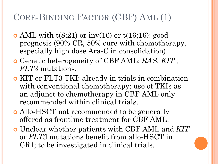# CORE-BINDING FACTOR (CBF) AML (1)

- AML with  $t(8;21)$  or inv(16) or  $t(16;16)$ : good prognosis (90% CR, 50% cure with chemotherapy, especially high dose Ara-C in consolidation).
- Genetic heterogeneity of CBF AML: *RAS, KIT , FLT3* mutations.
- KIT or FLT3 TKI: already in trials in combination with conventional chemotherapy; use of TKIs as an adjunct to chemotherapy in CBF AML only recommended within clinical trials.
- Allo-HSCT not recommended to be generally offered as frontline treatment for CBF AML.
- Unclear whether patients with CBF AML and *KIT*  or *FLT3* mutations benefit from allo-HSCT in CR1; to be investigated in clinical trials.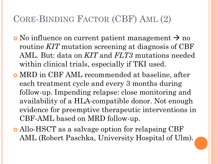# CORE-BINDING FACTOR (CBF) AML (2)

- $\circ$  No influence on current patient management  $\rightarrow$  no routine *KIT* mutation screening at diagnosis of CBF AML. But: data on *KIT* and *FLT3* mutations needed within clinical trials, especially if TKI used.
- MRD in CBF AML recommended at baseline, after each treatment cycle and every 3 months during follow-up. Impending relapse: close monitoring and availability of a HLA-compatible donor. Not enough evidence for preemptive therapeutic interventions in CBF-AML based on MRD follow-up.
- Allo-HSCT as a salvage option for relapsing CBF AML (Robert Paschka, University Hospital of Ulm).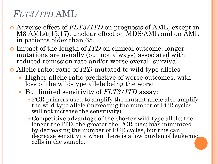# *FLT3/ITD* AML

- Adverse effect of *FLT3/ITD* on prognosis of AML, except in M3 AML/t(15;17); unclear effect on MDS/AML and on AML in patients older than 65.
- Impact of the length of *ITD* on clinical outcome: longer mutations are usually (but not always) associated with reduced remission rate and/or worse overall survival.

Allelic ratio: ratio of *ITD*-mutated to wild type alleles

- Higher allelic ratio predictive of worse outcomes, with loss of the wild-type allele being the worst
- But limited sensitivity of *FLT3/ITD* assay:
	- PCR primers used to amplify the mutant allele also amplify the wild-type allele (increasing the number of PCR cycles will not increase the sensitivity)
	- Competitive advantage of the shorter wild-type allele; the longer the ITD, the greater the PCR bias; bias minimized by decreasing the number of PCR cycles, but this can decrease sensitivity when there is a low burden of leukemic cells in the sample.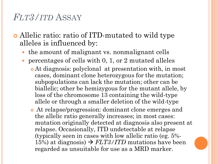### *FLT3/ITD* ASSAY

- Allelic ratio: ratio of ITD-mutated to wild type alleles is influenced by:
	- the amount of malignant vs. nonmalignant cells
	- percentages of cells with 0, 1, or 2 mutated alleles
		- At diagnosis: polyclonal at presentation with, in most cases, dominant clone heterozygous for the mutation; subpopulations can lack the mutation; other can be biallelic; other be hemizygous for the mutant allele, by loss of the chromosome 13 containing the wild-type allele or through a smaller deletion of the wild-type
		- At relapse/progression: dominant clone emerges and the allelic ratio generally increases; in most cases: mutation originally detected at diagnosis also present at relapse. Occasionally, ITD undetectable at relapse (typically seen in cases with low allelic ratio (eg. 5%- 15%) at diagnosis)  $\rightarrow FLT3/ITD$  mutations have been regarded as unsuitable for use as a MRD marker.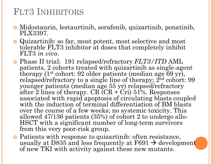# FLT3 INHIBITORS

- Midostaurin, lestaurtinib, sorafenib, quizartinib, ponatinib, PLX3397.
- Quizartinib: so far, most potent, most selective and most tolerable FLT3 inhibitor at doses that completely inhibit FLT3 *in vivo*.
- Phase II trial: 191 relapsed/refractory *FLT3/ITD* AML patients, 2 cohorts treated with quizartinib as single-agent therapy (1st cohort: 92 older patients (median age 69 yr), relapsed/refractory to a single line of therapy;  $2<sup>nd</sup>$  cohort: 99 younger patients (median age 55 yr) relapsed/refractory after 2 lines of therapy.  $CR$  ( $CR + Cri$ ) 51%. Responses associated with rapid apoptosis of circulating blasts coupled with the induction of terminal differentiation of BM blasts over the course of a few weeks; no systemic toxicity. This allowed 47/136 patients (35%) of cohort 2 to undergo allo-HSCT with a significant number of long-term survivors from this very poor-risk group.
- Patients with response to quizartinib: often resistance, usually at D835 and less frequently at F691  $\rightarrow$  development of new TKI with activity against these new mutants.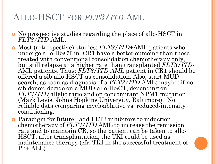## ALLO-HSCT FOR *FLT3/ITD* AML

- No prospective studies regarding the place of allo-HSCT in *FLT3/ITD* AML.
- Most (retrospective) studies: *FLT3/ITD*+AML patients who undergo allo-HSCT in CR1 have a better outcome than those treated with conventional consolidation chemotherapy only, but still relapse at a higher rate than transplanted *FLT3/ITD*-AML patients. Thus: *FLT3/ITD AML* patient in CR1 should be offered a sib allo-HSCT as consolidation. Also, start MUD search, as soon as diagnosis of a *FLT3/ITD* AML; maybe: if no sib donor, decide on a MUD allo-HSCT, depending on *FLT3/ITD* allelic ratio and on concomitant NPM1 mutation (Mark Levis, Johns Hopkins University, Baltimore). No reliable data comparing myeloablative vs. reduced-intensity conditioning.
- Paradigm for future: add FLT3 inhibitors to induction chemotherapy of *FLT3/ITD* AML to increase the remission rate and to maintain CR, so the patient can be taken to allo-HSCT; after transplantation, the TKI could be used as maintenance therapy (cfr. TKI in the successful treatment of Ph+ ALL).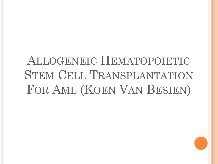# ALLOGENEIC HEMATOPOIETIC STEM CELL TRANSPLANTATION FOR AML (KOEN VAN BESIEN)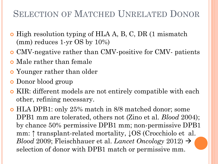# SELECTION OF MATCHED UNRELATED DONOR

- **o** High resolution typing of HLA A, B, C, DR (1 mismatch (mm) reduces 1-yr OS by 10%)
- CMV-negative rather than CMV-positive for CMV- patients
- **o** Male rather than female
- Younger rather than older
- **o** Donor blood group
- KIR: different models are not entirely compatible with each other, refining necessary.
- HLA DPB1: only 25% match in 8/8 matched donor; some DPB1 mm are tolerated, others not (Zino et al. *Blood* 2004); by chance 50% permissive DPB1 mm; non-permissive DPB1 mm: ↑ transplant-related mortality, ↓OS (Crocchiolo et al. *Blood* 2009; Fleischhauer et al. *Lancet Oncology* 2012) selection of donor with DPB1 match or permissive mm.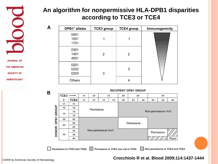

A

B

Permissive in TCE3 and TCE4

**JOURNAL OF THE AMERICAN SOCIETY OF** 

**HEMATOLOGY** 

### **An algorithm for nonpermissive HLA-DPB1 disparities according to TCE3 or TCE4**

| DPB1* alleles        | <b>TCE3</b> group | <b>TCE4</b> group | Immunogenicity |
|----------------------|-------------------|-------------------|----------------|
| 0901<br>1001<br>1701 |                   |                   |                |
| 0301<br>1401<br>4501 | 2                 | 2                 |                |
| 0201<br>0202<br>0203 | 3                 | 3                 |                |
| Others               |                   |                   |                |



Permissive in TCE3, but not in TCE4

### **RECIPIENT DPB1 GROUP**

Non permissive in TCE3 and TCE4

### **Crocchiolo R et al. Blood 2009;114:1437-1444** ©2009 by American Society of Hematology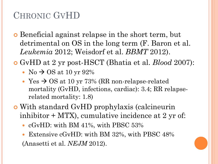# CHRONIC GVHD

- **o** Beneficial against relapse in the short term, but detrimental on OS in the long term (F. Baron et al. *Leukemia* 2012; Weisdorf et al. *BBMT* 2012).
- GvHD at 2 yr post-HSCT (Bhatia et al. *Blood* 2007):
	- No  $\rightarrow$  OS at 10 yr 92%
	- Yes  $\rightarrow$  OS at 10 yr 73% (RR non-relapse-related mortality (GvHD, infections, cardiac): 3.4; RR relapserelated mortality: 1.8)
- With standard GvHD prophylaxis (calcineurin inhibitor  $+$  MTX), cumulative incidence at 2 yr of:
	- cGvHD: with BM 41%, with PBSC 53%
	- Extensive cGvHD: with BM 32%, with PBSC 48% (Anasetti et al. *NEJM* 2012).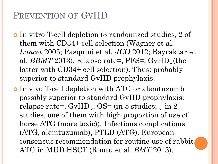# PREVENTION OF GVHD

- In vitro T-cell depletion (3 randomized studies, 2 of them with CD34+ cell selection (Wagner et al. *Lancet* 2005; Pasquini et al. *JCO* 2012; Bayraktar et al. *BBMT* 2013): relapse rate=, PFS=, GvHD<sup> $\downarrow$ </sup>(the latter with CD34+ cell selection). Thus: probably superior to standard GvHD prophylaxis.
- In vivo T-cell depletion with ATG or alemtuzumb possibly superior to standard GvHD prophylaxis: relapse rate=, GvHD↓, OS= (in 5 studies; ↓ in 2 studies, one of them with high proportion of use of horse ATG (more toxic)). Infectious complications (ATG, alemtuzumab), PTLD (ATG). European consensus recommendation for routine use of rabbit ATG in MUD HSCT (Ruutu et al. *BMT* 2013).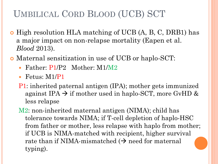# UMBILICAL CORD BLOOD (UCB) SCT

- High resolution HLA matching of UCB (A, B, C, DRB1) has a major impact on non-relapse mortality (Eapen et al. *Blood* 2013).
- Maternal sensitization in use of UCB or haplo-SCT:
	- Father: P1/P2 Mother: M1/M2
	- Fetus: M1/P1
	- P1: inherited paternal antigen (IPA); mother gets immunized against IPA  $\rightarrow$  if mother used in haplo-SCT, more GvHD & less relapse
	- M2: non-inherited maternal antigen (NIMA); child has tolerance towards NIMA; if T-cell depletion of haplo-HSC from father or mother, less relapse with haplo from mother; if UCB is NIMA-matched with recipient, higher survival rate than if NIMA-mismatched  $(\rightarrow)$  need for maternal typing).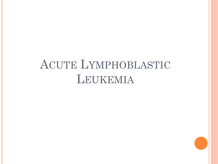# ACUTE LYMPHOBLASTIC LEUKEMIA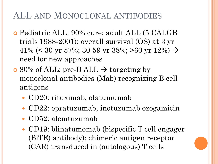# ALL AND MONOCLONAL ANTIBODIES

- Pediatric ALL: 90% cure; adult ALL (5 CALGB trials 1988-2001): overall survival (OS) at 3 yr 41% (< 30 yr 57%; 30-59 yr 38%; >60 yr 12%)  $\rightarrow$ need for new approaches
- $\sim$  80% of ALL: pre-B ALL  $\rightarrow$  targeting by monoclonal antibodies (Mab) recognizing B-cell antigens
	- CD20: rituximab, ofatumumab
	- CD22: epratuzumab, inotuzumab ozogamicin
	- CD52: alemtuzumab
	- CD19: blinatumomab (bispecific T cell engager (BiTE) antibody); chimeric antigen receptor (CAR) transduced in (autologous) T cells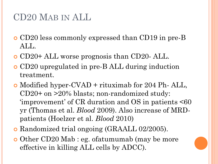# CD20 MAB IN ALL

- CD20 less commonly expressed than CD19 in pre-B ALL.
- CD20+ ALL worse prognosis than CD20- ALL.
- CD20 upregulated in pre-B ALL during induction treatment.
- Modified hyper-CVAD + rituximab for 204 Ph- ALL, CD20+ on >20% blasts; non-randomized study: 'improvement' of  $CR$  duration and  $OS$  in patients  $\leq 60$ yr (Thomas et al. *Blood* 2009). Also increase of MRDpatients (Hoelzer et al. *Blood* 2010)
- Randomized trial ongoing (GRAALL 02/2005).
- o Other CD20 Mab : eg. of a tumumab (may be more effective in killing ALL cells by ADCC).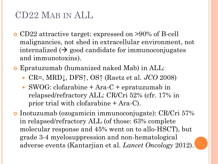# CD22 MAB IN ALL

- CD22 attractive target: expressed on >90% of B-cell malignancies, not shed in extracellular environment, not internalized  $\leftrightarrow$  good candidate for immunoconjugates and immunotoxins).
- Epratuzumab (humanized naked Mab) in ALL:
	- CR=, MRD↓, DFS↑, OS↑ (Raetz et al. *JCO* 2008)
	- SWOG: clofarabine + Ara-C + epratuzumab in relapsed/refractory ALL: CR/Cri 52% (cfr. 17% in prior trial with clofarabine + Ara-C).
- Inotuzumab (ozogamicin immunoconjugate): CR/Cri 57% in relapsed/refractory ALL (of those: 63% complete molecular response and 45% went on to allo-HSCT), but grade 3-4 myelosuppression and non-hematological adverse events (Kantarjian et al. *Lancet Oncology* 2012).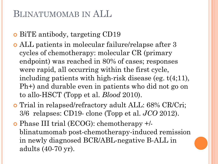# BLINATUMOMAB IN ALL

- BiTE antibody, targeting CD19
- ALL patients in molecular failure/relapse after 3 cycles of chemotherapy: molecular CR (primary endpoint) was reached in 80% of cases; responses were rapid, all occurring within the first cycle, including patients with high-risk disease (eg. t(4;11), Ph+) and durable even in patients who did not go on to allo-HSCT (Topp et al. *Blood* 2010).
- Trial in relapsed/refractory adult ALL: 68% CR/Cri; 3/6 relapses: CD19- clone (Topp et al. *JCO* 2012).
- Phase III trial (ECOG): chemotherapy +/ blinatumomab post-chemotherapy-induced remission in newly diagnosed BCR/ABL-negative B-ALL in adults (40-70 yr).